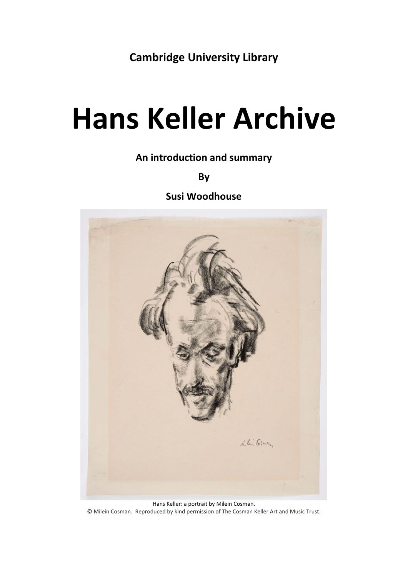## **Hans Keller Archive**

**An introduction and summary**

**By** 

**Susi Woodhouse**



Hans Keller: a portrait by Milein Cosman. © Milein Cosman. Reproduced by kind permission of The Cosman Keller Art and Music Trust.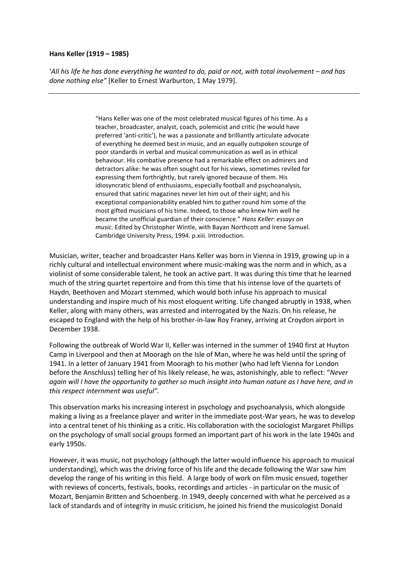## **Hans Keller (1919 – 1985)**

'All his life he has done everything he wanted to do, paid or not, with total involvement – and has *done nothing else"* [Keller to Ernest Warburton, 1 May 1979].

> "Hans Keller was one of the most celebrated musical figures of his time. As a teacher, broadcaster, analyst, coach, polemicist and critic (he would have preferred 'anti-critic'), he was a passionate and brilliantly articulate advocate of everything he deemed best in music, and an equally outspoken scourge of poor standards in verbal and musical communication as well as in ethical behaviour. His combative presence had a remarkable effect on admirers and detractors alike: he was often sought out for his views, sometimes reviled for expressing them forthrightly, but rarely ignored because of them. His idiosyncratic blend of enthusiasms, especially football and psychoanalysis, ensured that satiric magazines never let him out of their sight; and his exceptional companionability enabled him to gather round him some of the most gifted musicians of his time. Indeed, to those who knew him well he became the unofficial guardian of their conscience." *Hans Keller: essays on music.* Edited by Christopher Wintle, with Bayan Northcott and Irene Samuel. Cambridge University Press, 1994. p.xiii. Introduction.

Musician, writer, teacher and broadcaster Hans Keller was born in Vienna in 1919, growing up in a richly cultural and intellectual environment where music-making was the norm and in which, as a violinist of some considerable talent, he took an active part. It was during this time that he learned much of the string quartet repertoire and from this time that his intense love of the quartets of Haydn, Beethoven and Mozart stemmed, which would both infuse his approach to musical understanding and inspire much of his most eloquent writing. Life changed abruptly in 1938, when Keller, along with many others, was arrested and interrogated by the Nazis. On his release, he escaped to England with the help of his brother-in-law Roy Franey, arriving at Croydon airport in December 1938.

Following the outbreak of World War II, Keller was interned in the summer of 1940 first at Huyton Camp in Liverpool and then at Mooragh on the Isle of Man, where he was held until the spring of 1941. In a letter of January 1941 from Mooragh to his mother (who had left Vienna for London before the Anschluss) telling her of his likely release, he was, astonishingly, able to reflect: "*Never again will I have the opportunity to gather so much insight into human nature as I have here, and in this respect internment was useful".*

This observation marks his increasing interest in psychology and psychoanalysis, which alongside making a living as a freelance player and writer in the immediate post-War years, he was to develop into a central tenet of his thinking as a critic. His collaboration with the sociologist Margaret Phillips on the psychology of small social groups formed an important part of his work in the late 1940s and early 1950s.

However, it was music, not psychology (although the latter would influence his approach to musical understanding), which was the driving force of his life and the decade following the War saw him develop the range of his writing in this field. A large body of work on film music ensued, together with reviews of concerts, festivals, books, recordings and articles - in particular on the music of Mozart, Benjamin Britten and Schoenberg. In 1949, deeply concerned with what he perceived as a lack of standards and of integrity in music criticism, he joined his friend the musicologist Donald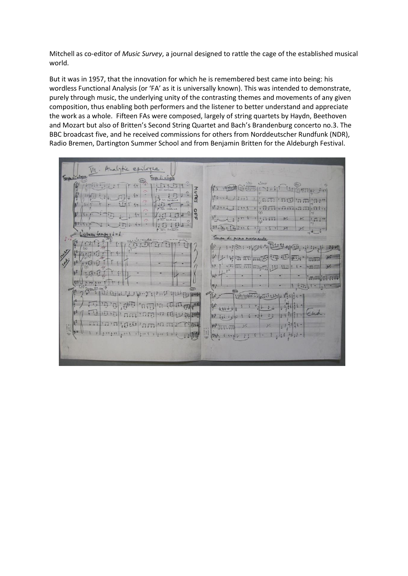Mitchell as co-editor of *Music Survey*, a journal designed to rattle the cage of the established musical world.

But it was in 1957, that the innovation for which he is remembered best came into being: his wordless Functional Analysis (or 'FA' as it is universally known). This was intended to demonstrate, purely through music, the underlying unity of the contrasting themes and movements of any given composition, thus enabling both performers and the listener to better understand and appreciate the work as a whole. Fifteen FAs were composed, largely of string quartets by Haydn, Beethoven and Mozart but also of Britten's Second String Quartet and Bach's Brandenburg concerto no.3. The BBC broadcast five, and he received commissions for others from Norddeutscher Rundfunk (NDR), Radio Bremen, Dartington Summer School and from Benjamin Britten for the Aldeburgh Festival.

ep  $\overline{u}$ 开西省 MUTES  $\Pi$ rti  $\overline{r}$  $\Pi\Pi$  $\sqrt{10}$  $\frac{8}{3}$  $7<sup>1</sup>$  $91.14.1$ ize  $k$ <sup>(</sup>)  $\sqrt{m}$   $\pi$   $\pi$ 厅 'mm  $\frac{1}{2}$  and  $\frac{1}{2}$  and  $\frac{1}{2}$  $4.5$  $755.001$ muttel. 呼  $\{\mathbb{R}\}$  $f(t)$  |  $f(t)$  $\frac{1}{2}$  (  $\frac{1}{2}$   $\frac{1}{2}$   $\frac{1}{2}$   $\frac{1}{2}$   $\frac{1}{2}$   $\frac{1}{2}$   $\frac{1}{2}$   $\frac{1}{2}$   $\frac{1}{2}$   $\frac{1}{2}$   $\frac{1}{2}$   $\frac{1}{2}$   $\frac{1}{2}$   $\frac{1}{2}$   $\frac{1}{2}$   $\frac{1}{2}$   $\frac{1}{2}$   $\frac{1}{2}$   $\frac{1}{2}$   $\frac{1}{2}$   $\frac{1}{2}$  $\mathbb{R}$ 画  $\sqrt{1}$  $\overline{P}$  $n_{\rm E}$ 口 口  $+64 \sqrt{1}$  $2.007$ 江口 拉斯拉  $k_{1}$   $\frac{1}{2}$   $\frac{1}{2}$   $\frac{1}{2}$  $100$  $\Box$  $\Box$ <sup>7</sup> $\Box$ Ĥ  $9466$  (175).  $51$ F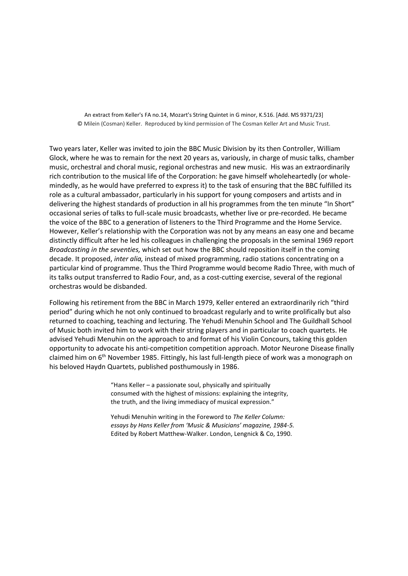An extract from Keller's FA no.14, Mozart's String Quintet in G minor, K.516. [Add. MS 9371/23] © Milein (Cosman) Keller. Reproduced by kind permission of The Cosman Keller Art and Music Trust.

Two years later, Keller was invited to join the BBC Music Division by its then Controller, William Glock, where he was to remain for the next 20 years as, variously, in charge of music talks, chamber music, orchestral and choral music, regional orchestras and new music. His was an extraordinarily rich contribution to the musical life of the Corporation: he gave himself wholeheartedly (or wholemindedly, as he would have preferred to express it) to the task of ensuring that the BBC fulfilled its role as a cultural ambassador, particularly in his support for young composers and artists and in delivering the highest standards of production in all his programmes from the ten minute "In Short" occasional series of talks to full-scale music broadcasts, whether live or pre-recorded. He became the voice of the BBC to a generation of listeners to the Third Programme and the Home Service. However, Keller's relationship with the Corporation was not by any means an easy one and became distinctly difficult after he led his colleagues in challenging the proposals in the seminal 1969 report *Broadcasting in the seventies,* which set out how the BBC should reposition itself in the coming decade. It proposed, *inter alia,* instead of mixed programming, radio stations concentrating on a particular kind of programme. Thus the Third Programme would become Radio Three, with much of its talks output transferred to Radio Four, and, as a cost-cutting exercise, several of the regional orchestras would be disbanded.

Following his retirement from the BBC in March 1979, Keller entered an extraordinarily rich "third period" during which he not only continued to broadcast regularly and to write prolifically but also returned to coaching, teaching and lecturing. The Yehudi Menuhin School and The Guildhall School of Music both invited him to work with their string players and in particular to coach quartets. He advised Yehudi Menuhin on the approach to and format of his Violin Concours, taking this golden opportunity to advocate his anti-competition competition approach. Motor Neurone Disease finally claimed him on  $6<sup>th</sup>$  November 1985. Fittingly, his last full-length piece of work was a monograph on his beloved Haydn Quartets, published posthumously in 1986.

> "Hans Keller – a passionate soul, physically and spiritually consumed with the highest of missions: explaining the integrity, the truth, and the living immediacy of musical expression."

Yehudi Menuhin writing in the Foreword to *The Keller Column: essays by Hans Keller from 'Music & Musicians' magazine, 1984-5.* Edited by Robert Matthew-Walker. London, Lengnick & Co, 1990.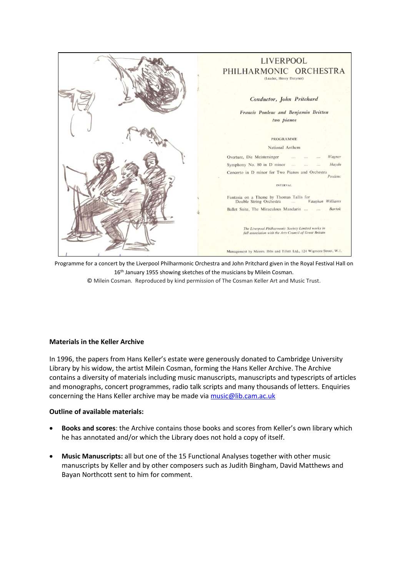

Programme for a concert by the Liverpool Philharmonic Orchestra and John Pritchard given in the Royal Festival Hall on 16<sup>th</sup> January 1955 showing sketches of the musicians by Milein Cosman. © Milein Cosman. Reproduced by kind permission of The Cosman Keller Art and Music Trust.

## **Materials in the Keller Archive**

In 1996, the papers from Hans Keller's estate were generously donated to Cambridge University Library by his widow, the artist Milein Cosman, forming the Hans Keller Archive. The Archive contains a diversity of materials including music manuscripts, manuscripts and typescripts of articles and monographs, concert programmes, radio talk scripts and many thousands of letters. Enquiries concerning the Hans Keller archive may be made via [music@lib.cam.ac.uk](mailto:music@lib.cam.ac.uk)

## **Outline of available materials:**

- **Books and scores**: the Archive contains those books and scores from Keller's own library which he has annotated and/or which the Library does not hold a copy of itself.
- **Music Manuscripts:** all but one of the 15 Functional Analyses together with other music manuscripts by Keller and by other composers such as Judith Bingham, David Matthews and Bayan Northcott sent to him for comment.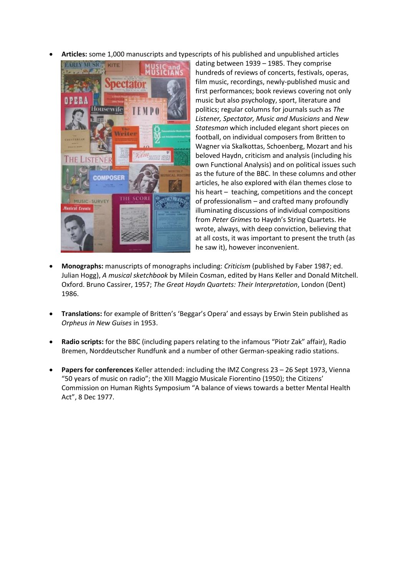**Articles:** some 1,000 manuscripts and typescripts of his published and unpublished articles



dating between 1939 – 1985. They comprise hundreds of reviews of concerts, festivals, operas, film music, recordings, newly-published music and first performances; book reviews covering not only music but also psychology, sport, literature and politics; regular columns for journals such as *[The](http://hooke.lib.cam.ac.uk/cgi-bin/bib_seek.cgi?cat=ul&bib=2980112)  [Listener,](http://hooke.lib.cam.ac.uk/cgi-bin/bib_seek.cgi?cat=ul&bib=2980112) [Spectator,](http://hooke.lib.cam.ac.uk/cgi-bin/bib_seek.cgi?cat=ul&bib=2976867) [Music and Musicians](http://hooke.lib.cam.ac.uk/cgi-bin/bib_seek.cgi?cat=ul&bib=2901527)* and *[New](http://hooke.lib.cam.ac.uk/cgi-bin/bib_seek.cgi?cat=ul&bib=2985535)  [Statesman](http://hooke.lib.cam.ac.uk/cgi-bin/bib_seek.cgi?cat=ul&bib=2985535)* which included elegant short pieces on football, on individual composers from Britten to Wagner vi[a Skalkottas,](https://en.wikipedia.org/wiki/Nikos_Skalkottas) Schoenberg, Mozart and his beloved Haydn, criticism and analysis (including his own Functional Analysis) and on political issues such as the future of the BBC. In these columns and other articles, he also explored with élan themes close to his heart – teaching, competitions and the concept of professionalism – and crafted many profoundly illuminating discussions of individual compositions from *Peter Grimes* to Haydn's String Quartets. He wrote, always, with deep conviction, believing that at all costs, it was important to present the truth (as he saw it), however inconvenient.

- **Monographs:** manuscripts of monographs including: *Criticism* (published by Faber 1987; ed. Julian Hogg), *A musical sketchbook* by Milein Cosman, edited by Hans Keller and Donald Mitchell. Oxford. Bruno Cassirer, 1957; *The Great Haydn Quartets: Their Interpretation*, London (Dent) 1986.
- **Translations:** for example of Britten's 'Beggar's Opera' and essays by Erwin Stein published as *Orpheus in New Guises* in 1953.
- **Radio scripts:** for the BBC (including papers relating to the infamous "Piotr Zak" affair), Radio Bremen, Norddeutscher Rundfunk and a number of other German-speaking radio stations.
- **Papers for conferences** Keller attended: including the IMZ Congress 23 26 Sept 1973, Vienna "50 years of music on radio"; the XIII Maggio Musicale Fiorentino (1950); the Citizens' Commission on Human Rights Symposium "A balance of views towards a better Mental Health Act", 8 Dec 1977.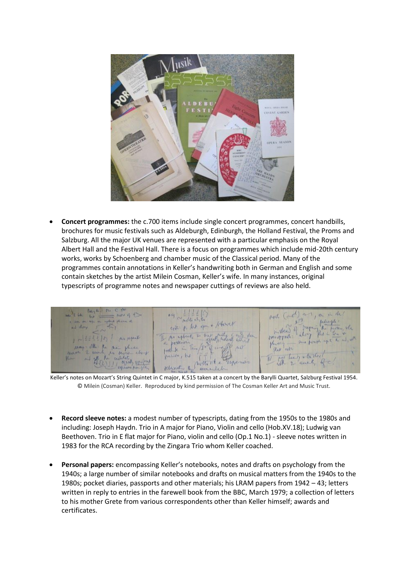

 **Concert programmes:** the c.700 items include single concert programmes, concert handbills, brochures for music festivals such as Aldeburgh, Edinburgh, the Holland Festival, the Proms and Salzburg. All the major UK venues are represented with a particular emphasis on the Royal Albert Hall and the Festival Hall. There is a focus on programmes which include mid-20th century works, works by Schoenberg and chamber music of the Classical period. Many of the programmes contain annotations in Keller's handwriting both in German and English and some contain sketches by the artist Milein Cosman, Keller's wife. In many instances, original typescripts of programme notes and newspaper cuttings of reviews are also held.

 $\mathcal{L}_{\Gamma}$  $RW^A$   $(1, 1)$ on applied phases of  $K_1$ 1. but open Vea a of Tach  $115$ well be ask  $+6.16$ 

Keller's notes on Mozart's String Quintet in C major, K.515 taken at a concert by the Barylli Quartet, Salzburg Festival 1954. © Milein (Cosman) Keller. Reproduced by kind permission of The Cosman Keller Art and Music Trust.

- **Record sleeve notes:** a modest number of typescripts, dating from the 1950s to the 1980s and including: Joseph Haydn. Trio in A major for Piano, Violin and cello (Hob.XV.18); Ludwig van Beethoven. Trio in E flat major for Piano, violin and cello (Op.1 No.1) - sleeve notes written in 1983 for the RCA recording by the Zingara Trio whom Keller coached.
- **Personal papers:** encompassing Keller's notebooks, notes and drafts on psychology from the 1940s; a large number of similar notebooks and drafts on musical matters from the 1940s to the 1980s; pocket diaries, passports and other materials; his LRAM papers from 1942 – 43; letters written in reply to entries in the farewell book from the BBC, March 1979; a collection of letters to his mother Grete from various correspondents other than Keller himself; awards and certificates.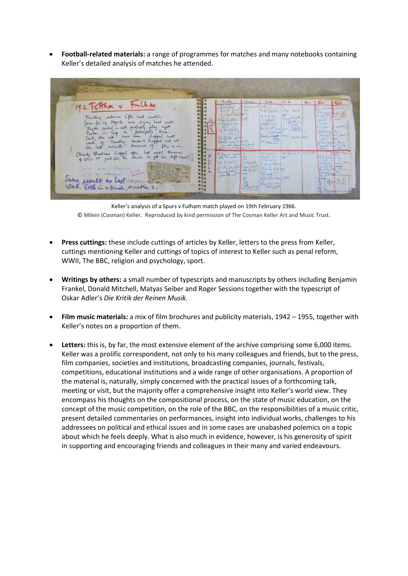**Football-related materials:** a range of programmes for matches and many notebooks containing Keller's detailed analysis of matches he attended.



Keller's analysis of a Spurs v Fulham match played on 19th February 1966. © Milein (Cosman) Keller. Reproduced by kind permission of The Cosman Keller Art and Music Trust.

- **Press cuttings:** these include cuttings of articles by Keller, letters to the press from Keller, cuttings mentioning Keller and cuttings of topics of interest to Keller such as penal reform, WWII, The BBC, religion and psychology, sport.
- **Writings by others:** a small number of typescripts and manuscripts by others including Benjamin Frankel, Donald Mitchell, Matyas Seiber and Roger Sessions together with the typescript of Oskar Adler's *Die Kritik der Reinen Musik.*
- **Film music materials:** a mix of film brochures and publicity materials, 1942 1955, together with Keller's notes on a proportion of them.
- **Letters:** this is, by far, the most extensive element of the archive comprising some 6,000 items. Keller was a prolific correspondent, not only to his many colleagues and friends, but to the press, film companies, societies and institutions, broadcasting companies, journals, festivals, competitions, educational institutions and a wide range of other organisations. A proportion of the material is, naturally, simply concerned with the practical issues of a forthcoming talk, meeting or visit, but the majority offer a comprehensive insight into Keller's world view. They encompass his thoughts on the compositional process, on the state of music education, on the concept of the music competition, on the role of the BBC, on the responsibilities of a music critic, present detailed commentaries on performances, insight into individual works, challenges to his addressees on political and ethical issues and in some cases are unabashed polemics on a topic about which he feels deeply. What is also much in evidence, however, is his generosity of spirit in supporting and encouraging friends and colleagues in their many and varied endeavours.